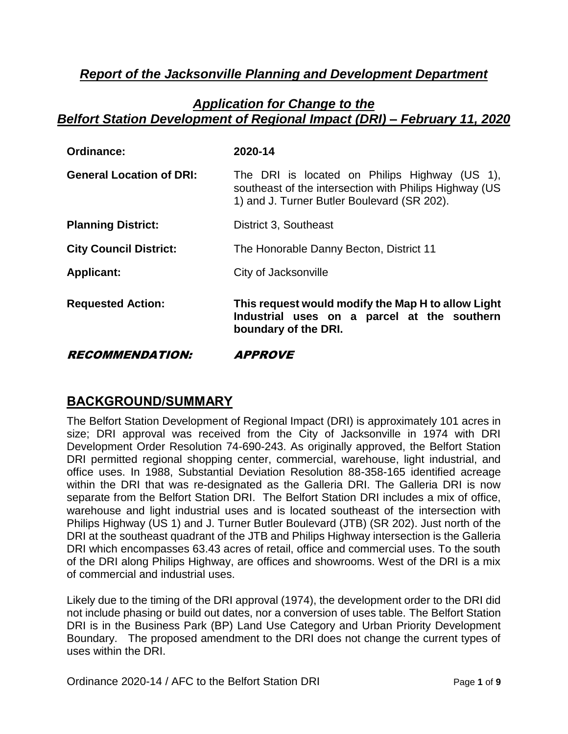# *Report of the Jacksonville Planning and Development Department*

### *Application for Change to the Belfort Station Development of Regional Impact (DRI) – February 11, 2020*

| <b>Ordinance:</b>               | 2020-14                                                                                                                                                |
|---------------------------------|--------------------------------------------------------------------------------------------------------------------------------------------------------|
| <b>General Location of DRI:</b> | The DRI is located on Philips Highway (US 1),<br>southeast of the intersection with Philips Highway (US<br>1) and J. Turner Butler Boulevard (SR 202). |
| <b>Planning District:</b>       | District 3, Southeast                                                                                                                                  |
| <b>City Council District:</b>   | The Honorable Danny Becton, District 11                                                                                                                |
| <b>Applicant:</b>               | City of Jacksonville                                                                                                                                   |
| <b>Requested Action:</b>        | This request would modify the Map H to allow Light<br>Industrial uses on a parcel at the southern<br>boundary of the DRI.                              |
| <i><b>RECOMMENDATION:</b></i>   | <i><b>APPROVE</b></i>                                                                                                                                  |

# **BACKGROUND/SUMMARY**

The Belfort Station Development of Regional Impact (DRI) is approximately 101 acres in size; DRI approval was received from the City of Jacksonville in 1974 with DRI Development Order Resolution 74-690-243. As originally approved, the Belfort Station DRI permitted regional shopping center, commercial, warehouse, light industrial, and office uses. In 1988, Substantial Deviation Resolution 88-358-165 identified acreage within the DRI that was re-designated as the Galleria DRI. The Galleria DRI is now separate from the Belfort Station DRI. The Belfort Station DRI includes a mix of office, warehouse and light industrial uses and is located southeast of the intersection with Philips Highway (US 1) and J. Turner Butler Boulevard (JTB) (SR 202). Just north of the DRI at the southeast quadrant of the JTB and Philips Highway intersection is the Galleria DRI which encompasses 63.43 acres of retail, office and commercial uses. To the south of the DRI along Philips Highway, are offices and showrooms. West of the DRI is a mix of commercial and industrial uses.

Likely due to the timing of the DRI approval (1974), the development order to the DRI did not include phasing or build out dates, nor a conversion of uses table. The Belfort Station DRI is in the Business Park (BP) Land Use Category and Urban Priority Development Boundary. The proposed amendment to the DRI does not change the current types of uses within the DRI.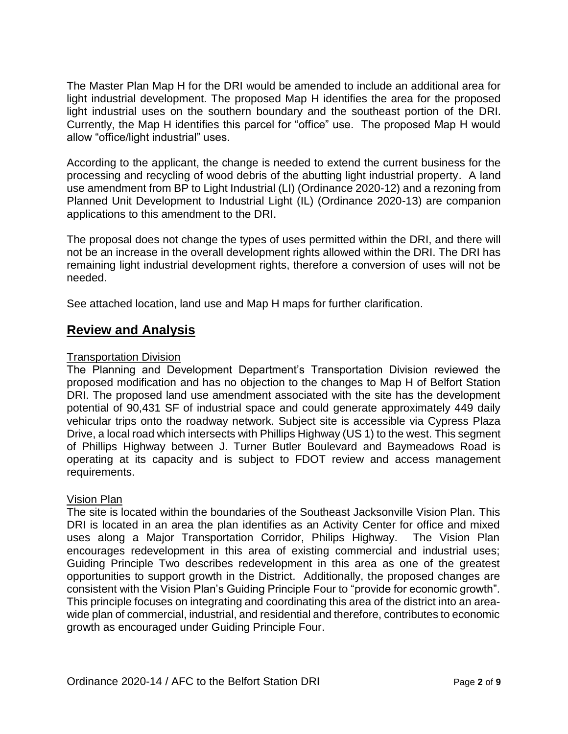The Master Plan Map H for the DRI would be amended to include an additional area for light industrial development. The proposed Map H identifies the area for the proposed light industrial uses on the southern boundary and the southeast portion of the DRI. Currently, the Map H identifies this parcel for "office" use. The proposed Map H would allow "office/light industrial" uses.

According to the applicant, the change is needed to extend the current business for the processing and recycling of wood debris of the abutting light industrial property. A land use amendment from BP to Light Industrial (LI) (Ordinance 2020-12) and a rezoning from Planned Unit Development to Industrial Light (IL) (Ordinance 2020-13) are companion applications to this amendment to the DRI.

The proposal does not change the types of uses permitted within the DRI, and there will not be an increase in the overall development rights allowed within the DRI. The DRI has remaining light industrial development rights, therefore a conversion of uses will not be needed.

See attached location, land use and Map H maps for further clarification.

## **Review and Analysis**

### Transportation Division

The Planning and Development Department's Transportation Division reviewed the proposed modification and has no objection to the changes to Map H of Belfort Station DRI. The proposed land use amendment associated with the site has the development potential of 90,431 SF of industrial space and could generate approximately 449 daily vehicular trips onto the roadway network. Subject site is accessible via Cypress Plaza Drive, a local road which intersects with Phillips Highway (US 1) to the west. This segment of Phillips Highway between J. Turner Butler Boulevard and Baymeadows Road is operating at its capacity and is subject to FDOT review and access management requirements.

### Vision Plan

The site is located within the boundaries of the Southeast Jacksonville Vision Plan. This DRI is located in an area the plan identifies as an Activity Center for office and mixed uses along a Major Transportation Corridor, Philips Highway. The Vision Plan encourages redevelopment in this area of existing commercial and industrial uses; Guiding Principle Two describes redevelopment in this area as one of the greatest opportunities to support growth in the District. Additionally, the proposed changes are consistent with the Vision Plan's Guiding Principle Four to "provide for economic growth". This principle focuses on integrating and coordinating this area of the district into an areawide plan of commercial, industrial, and residential and therefore, contributes to economic growth as encouraged under Guiding Principle Four.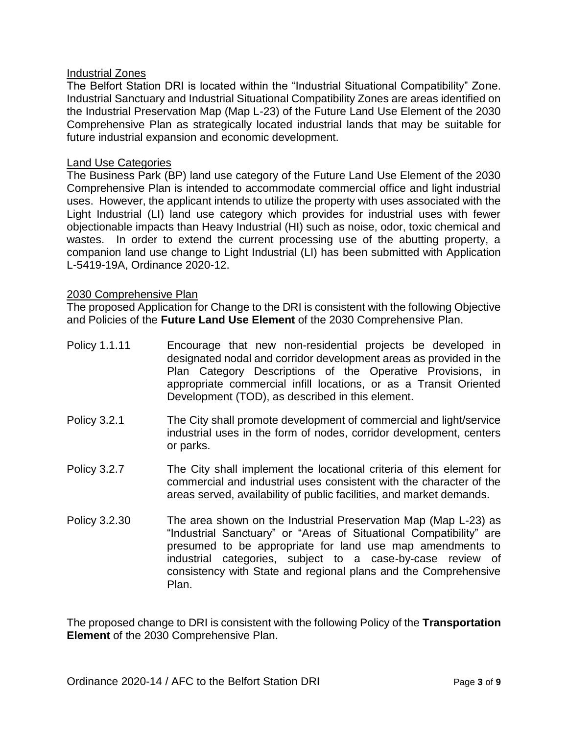### Industrial Zones

The Belfort Station DRI is located within the "Industrial Situational Compatibility" Zone. Industrial Sanctuary and Industrial Situational Compatibility Zones are areas identified on the Industrial Preservation Map (Map L-23) of the Future Land Use Element of the 2030 Comprehensive Plan as strategically located industrial lands that may be suitable for future industrial expansion and economic development.

#### Land Use Categories

The Business Park (BP) land use category of the Future Land Use Element of the 2030 Comprehensive Plan is intended to accommodate commercial office and light industrial uses. However, the applicant intends to utilize the property with uses associated with the Light Industrial (LI) land use category which provides for industrial uses with fewer objectionable impacts than Heavy Industrial (HI) such as noise, odor, toxic chemical and wastes. In order to extend the current processing use of the abutting property, a companion land use change to Light Industrial (LI) has been submitted with Application L-5419-19A, Ordinance 2020-12.

#### 2030 Comprehensive Plan

The proposed Application for Change to the DRI is consistent with the following Objective and Policies of the **Future Land Use Element** of the 2030 Comprehensive Plan.

- Policy 1.1.11 Encourage that new non-residential projects be developed in designated nodal and corridor development areas as provided in the Plan Category Descriptions of the Operative Provisions, in appropriate commercial infill locations, or as a Transit Oriented Development (TOD), as described in this element.
- Policy 3.2.1 The City shall promote development of commercial and light/service industrial uses in the form of nodes, corridor development, centers or parks.
- Policy 3.2.7 The City shall implement the locational criteria of this element for commercial and industrial uses consistent with the character of the areas served, availability of public facilities, and market demands.
- Policy 3.2.30 The area shown on the Industrial Preservation Map (Map L-23) as "Industrial Sanctuary" or "Areas of Situational Compatibility" are presumed to be appropriate for land use map amendments to industrial categories, subject to a case-by-case review of consistency with State and regional plans and the Comprehensive Plan.

The proposed change to DRI is consistent with the following Policy of the **Transportation Element** of the 2030 Comprehensive Plan.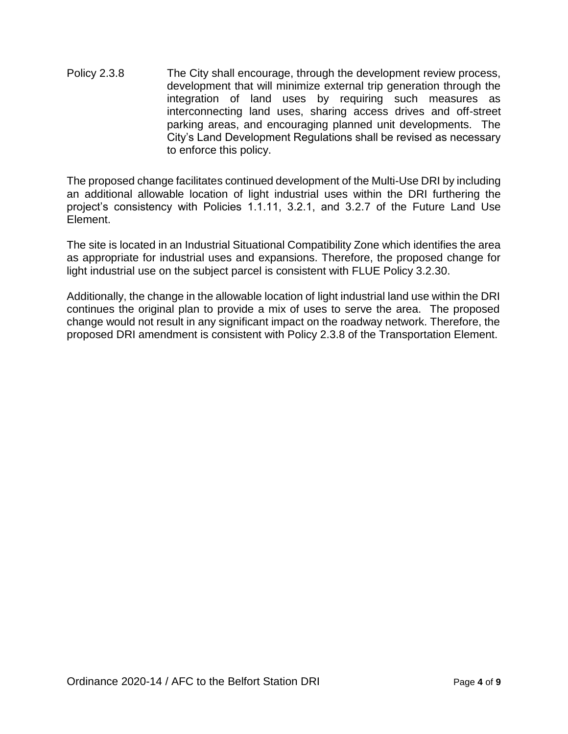Policy 2.3.8 The City shall encourage, through the development review process, development that will minimize external trip generation through the integration of land uses by requiring such measures as interconnecting land uses, sharing access drives and off-street parking areas, and encouraging planned unit developments. The City's Land Development Regulations shall be revised as necessary to enforce this policy.

The proposed change facilitates continued development of the Multi-Use DRI by including an additional allowable location of light industrial uses within the DRI furthering the project's consistency with Policies 1.1.11, 3.2.1, and 3.2.7 of the Future Land Use Element.

The site is located in an Industrial Situational Compatibility Zone which identifies the area as appropriate for industrial uses and expansions. Therefore, the proposed change for light industrial use on the subject parcel is consistent with FLUE Policy 3.2.30.

Additionally, the change in the allowable location of light industrial land use within the DRI continues the original plan to provide a mix of uses to serve the area. The proposed change would not result in any significant impact on the roadway network. Therefore, the proposed DRI amendment is consistent with Policy 2.3.8 of the Transportation Element.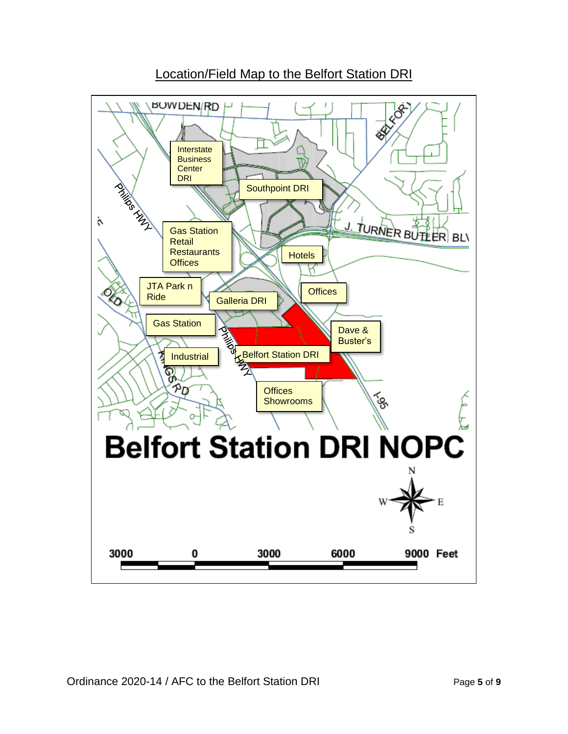

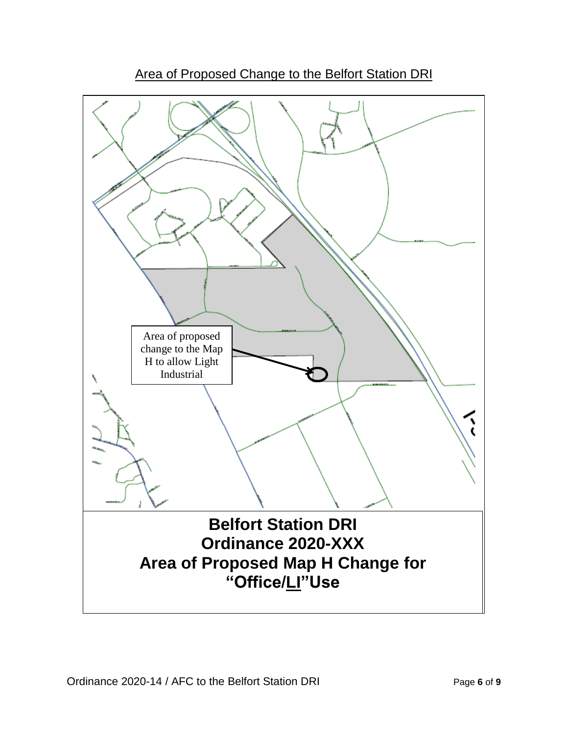

Area of Proposed Change to the Belfort Station DRI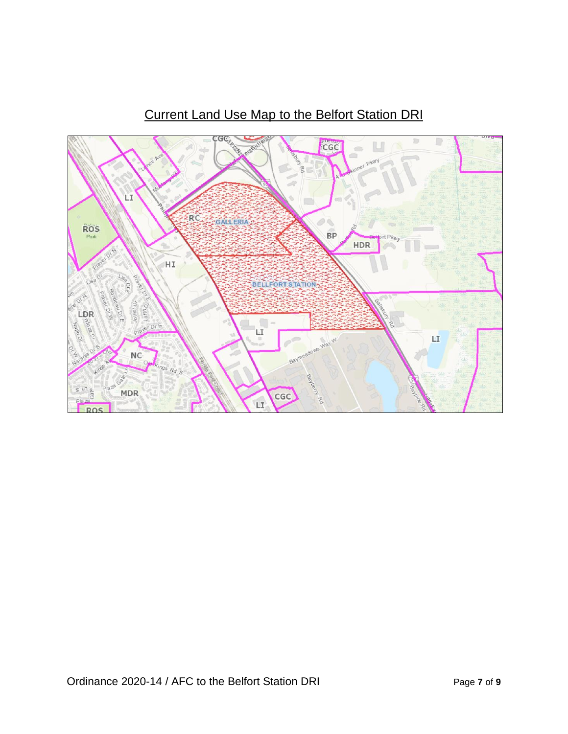

# Current Land Use Map to the Belfort Station DRI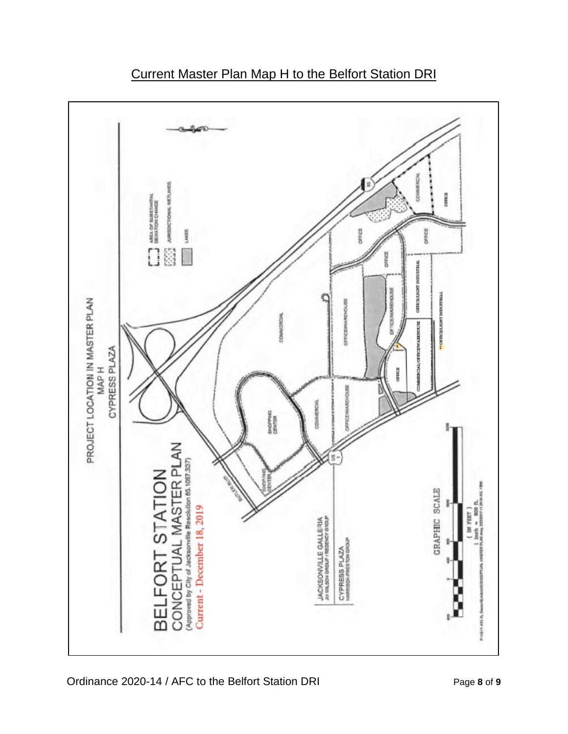



Ordinance 2020-14 / AFC to the Belfort Station DRI Page **8** of **9**